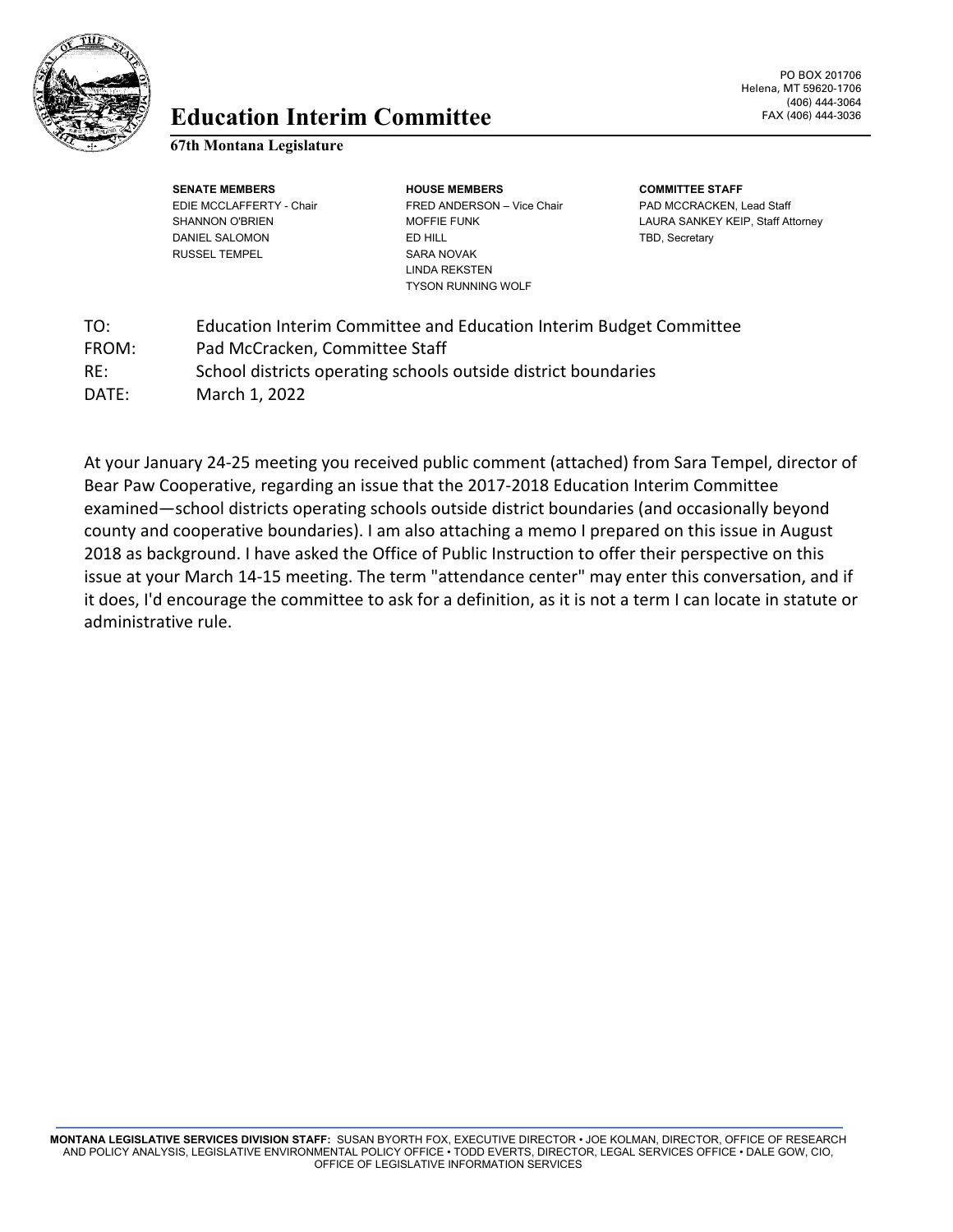

## **Education** FAX (406) 444-3036 **Interim Committee**

#### **67th Montana Legislature**

**SENATE MEMBERS HOUSE MEMBERS COMMITTEE STAFF** EDIE MCCLAFFERTY - Chair **FRED ANDERSON** – Vice Chair **PAD MCCRACKEN, Lead Staff** SHANNON O'BRIEN MOFFIE FUNK LAURA SANKEY KEIP, Staff Attorney DANIEL SALOMON **ED HILL ED HILL ED HILL TBD, Secretary** RUSSEL TEMPEL SARA NOVAK LINDA REKSTEN TYSON RUNNING WOLF

| TO:   | Education Interim Committee and Education Interim Budget Committee |
|-------|--------------------------------------------------------------------|
| FROM: | Pad McCracken, Committee Staff                                     |
| RE:   | School districts operating schools outside district boundaries     |
| DATE: | March 1, 2022                                                      |

At your January 24-25 meeting you received public comment (attached) from Sara Tempel, director of Bear Paw Cooperative, regarding an issue that the 2017-2018 Education Interim Committee examined—school districts operating schools outside district boundaries (and occasionally beyond county and cooperative boundaries). I am also attaching a memo I prepared on this issue in August 2018 as background. I have asked the Office of Public Instruction to offer their perspective on this issue at your March 14-15 meeting. The term "attendance center" may enter this conversation, and if it does, I'd encourage the committee to ask for a definition, as it is not a term I can locate in statute or administrative rule.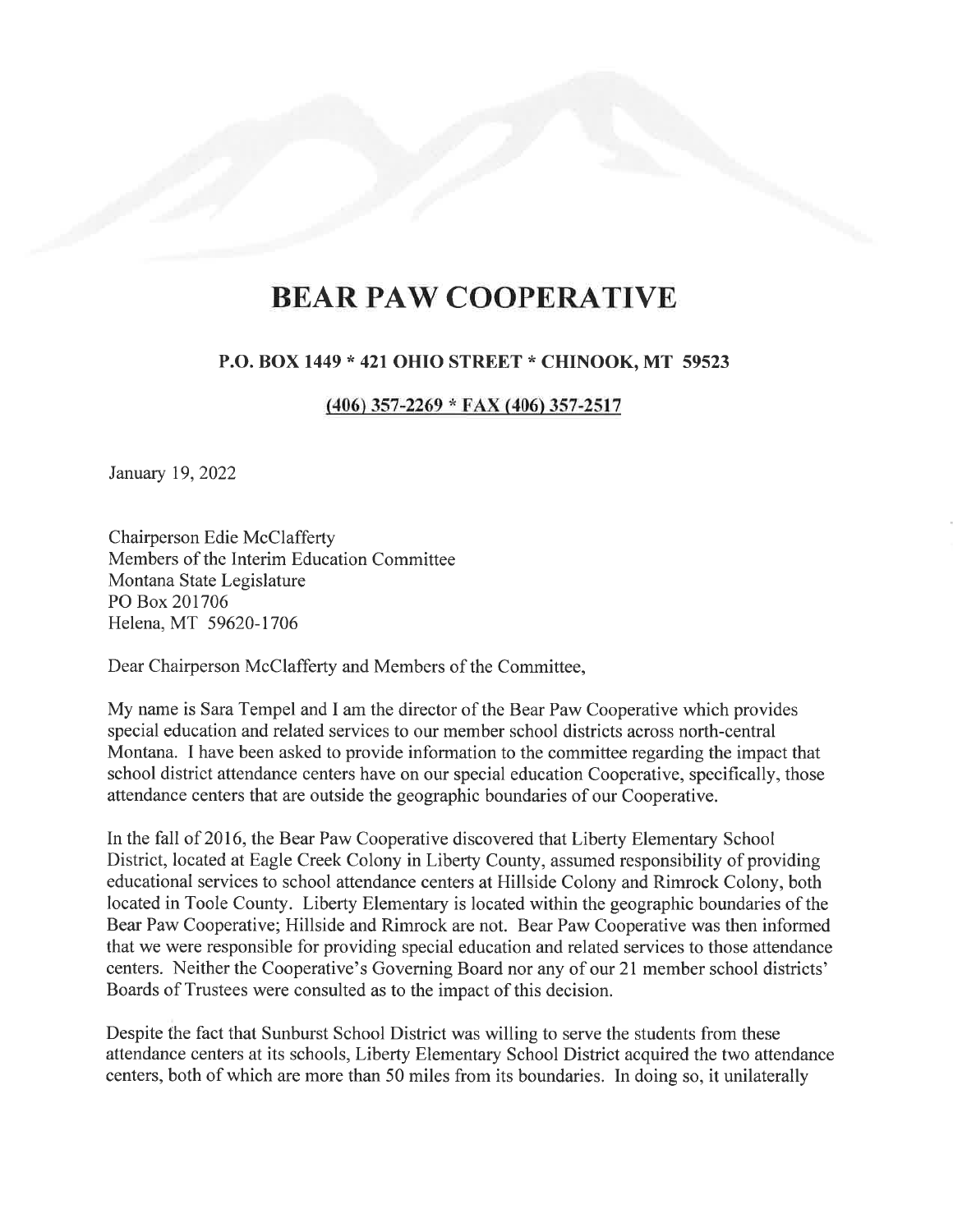# **BEAR PAW COOPERATIVE**

#### P.O. BOX 1449 \* 421 OHIO STREET \* CHINOOK, MT <sup>59523</sup>

#### $(406)$  357-2269 \* FAX (406) 357-2517

January 19,2022

Chairperson Edie McClafferty Members of the Interim Education Committee Montana State Legislature PO Box 201706 Helena, MT 59620-1706

Dear Chairperson McClafferty and Members of the Committee,

My name is Sara Tempel and I am the director of the Bear Paw Cooperative which provides special education and related services to our member school districts across north-central Montana. I have been asked to provide information to the committee regarding the impact that school district attendance centers have on our special education Cooperative, specihcally, those attendance centers that are outside the geographic boundaries of our Cooperative.

In the fall of 2016, the Bear Paw Cooperative discovered that Liberty Elementary School District, located at Eagle Creek Colony in Liberty County, assumed responsibility of providing educational services to school attendance centers at Hillside Colony and Rimrock Colony, both located in Toole County. Liberty Elementary is located within the geographic boundaries of the Bear Paw Cooperative; Hillside and Rimrock are not. Bear Paw Cooperative was then informed that we were responsible for providing special education and related services to those attendance centers. Neither the Cooperative's Governing Board nor any of our 21 member school districts' Boards of Trustees were consulted as to the impact of this decision.

Despite the fact that Sunburst School District was willing to serve the students from these attendance centers at its schools, Liberty Elementary School District acquired the two attendance centers, both of which are more than 50 miles from its boundaries. In doing so, it unilaterally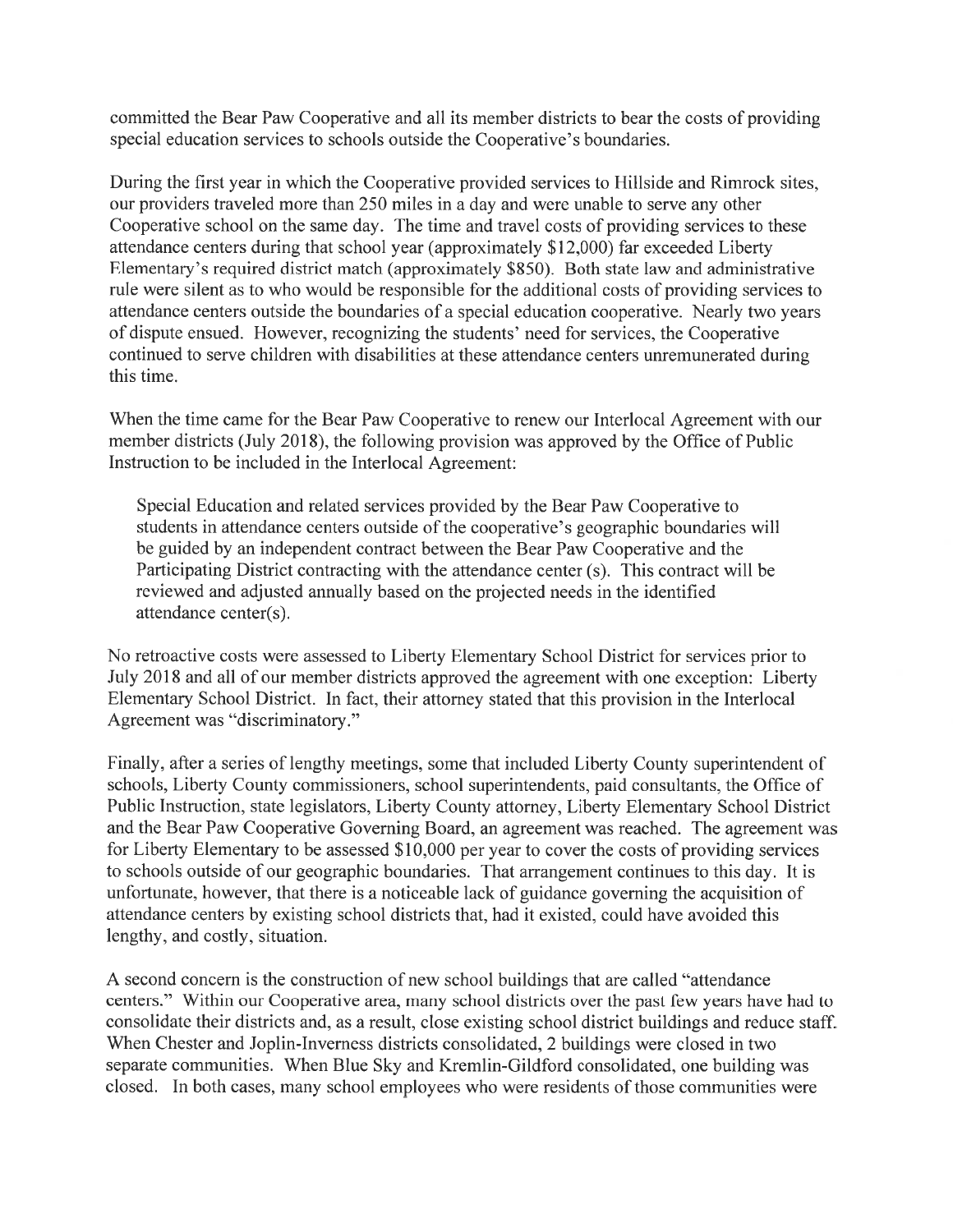committed the Bear Paw Cooperative and all its member districts to bear the costs of providing special education services to schools outside the Cooperative's boundaries.

During the first year in which the Cooperative provided services to Hillside and Rimrock sites, our providers traveled more than 250 miles in a day and were unable to serve any other Cooperative school on the same day. The time and travel costs of providing services to these attendance centers during that school year (approximately \$12,000) far exceeded Liberty Elementary's required district match (approximately \$850). Both state law and administrative rule were silent as to who would be responsible for the additional costs of providing services to attendance centers outside the boundaries of a special education cooperative. Nearly two years of dispute ensued. However, recognizing the students' need for services, the Cooperative continued to serve children with disabilities at these attendance centers unremunerated during this time.

When the time came for the Bear Paw Cooperative to renew our Interlocal Agreement with our member districts (July 2018), the following provision was approved by the Office of Public Instruction to be included in the Interlocal Agreement:

Special Education and related services provided by the Bear Paw Cooperative to students in attendance centers outside of the cooperative's geographic boundaries will be guided by an independent contract between the Bear Paw Cooperative and the Participating District contracting with the attendance center (s). This contract will be reviewed and adjusted annually based on the projected needs in the identified attendance center(s).

No retroactive costs were assessed to Liberty Elementary School District for services prior to July 2018 and all of our member districts approved the agreement with one exception: Liberty Elementary School District. In fact, their attomey stated that this provision in the Interlocal Agreement was "discriminatory."

Finally, after a series of lengthy meetings, some that included Liberty County superintendent of schools, Liberty County commissioners, school superintendents, paid consultants, the Office of Public Instruction, state legislators, Liberty County attomey, Liberty Elementary School District and the Bear Paw Cooperative Governing Board, an agreement was reached. The agreement was for Liberty Elementary to be assessed \$10,000 per year to cover the costs of providing services to schools outside of our geographic boundaries. That arrangement continues to this day. It is unfortunate, however, that there is a noticeable lack of guidance governing the acquisition of attendance centers by existing school districts that, had it existed, could have avoided this lengthy, and costly, situation.

A second concern is the construction of new school buildings that are called "attendance" centers." Within our Cooperative area, many school districts over the past few years have had to consolidate their districts and, as a result, close existing school district buildings and reduce staff. When Chester and Joplin-Inverness districts consolidated, 2 buildings were closed in two separate communities. When Blue Sky and Kremlin-Gildford consolidated, one building was closed. In both cases, many school employees who were residents of those communities were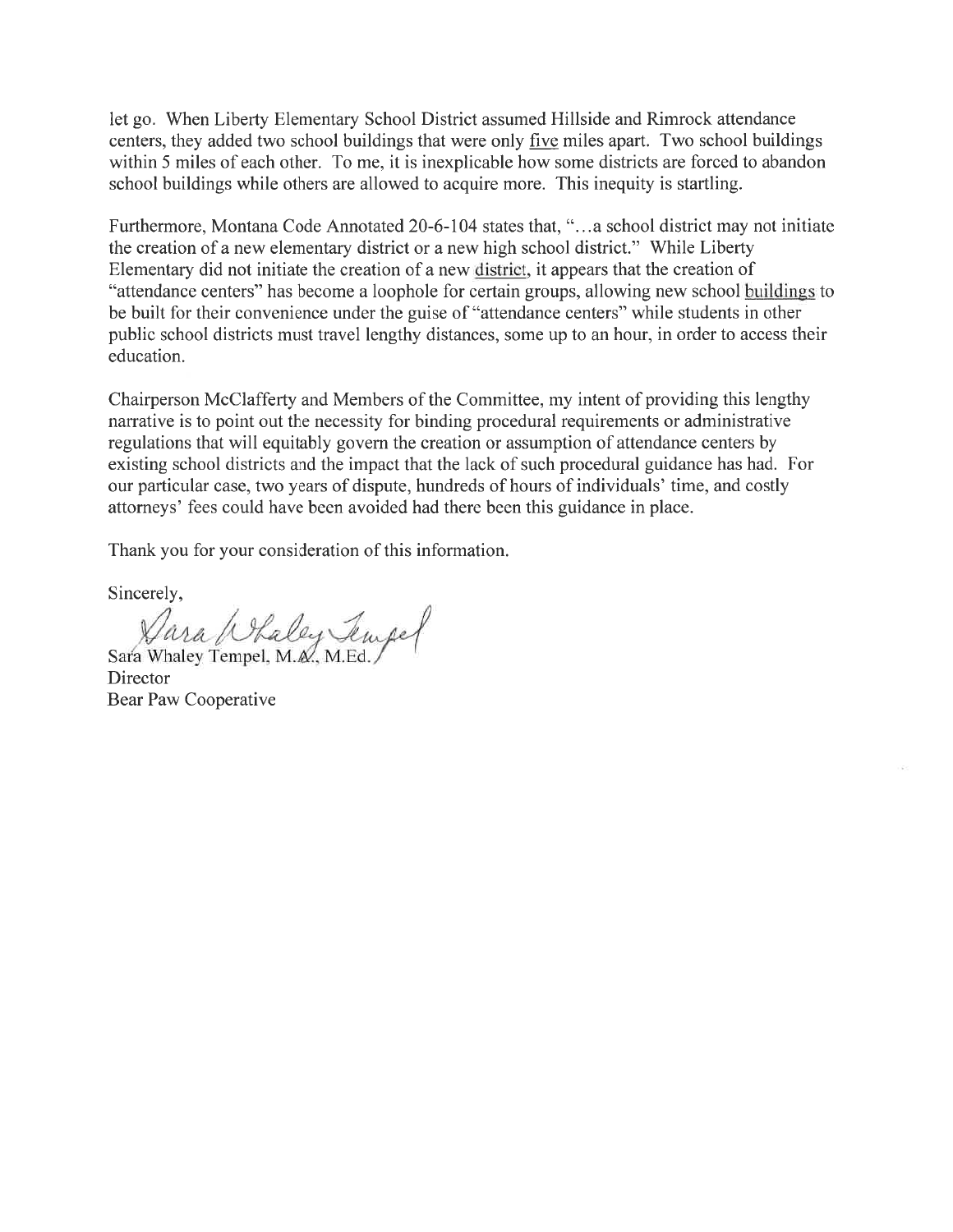let go. When Liberty Elementary School District assumed Hillside and Rimrock attendance centers, they added two school buildings that were only five miles apart. Two school buildings within 5 miles of each other. To me, it is inexplicable how some districts are forced to abandon school buildings while others are allowed to acquire more. This inequity is startling.

Furthermore, Montana Code Annotated 20-6-104 states that, "...a school district may not initiate the creation of a new elementary district or a new high school district." While Liberty Elementary did not initiate the creation of a new district, it appears that the creation of "attendance centers" has become a loophole for certain groups, allowing new school buildings to be built for their convenience under the guise of "attendance centers" while students in other public school districts must travel lengthy distances, some up to an hour, in order to access their education.

Chairperson McClafferty and Members of the Committee, my intent of providing this lengtþ narrative is to point out the necessity for binding procedural requirements or administrative regulations that will equitably govern the creation or assumption of attendance centers by existing school districts and the impact that the lack of such procedural guidance has had. For our particular case, two years of dispute, hundreds of hours of individuals' time, and costly attorneys' fees could have been avoided had there been this guidance in place.

Thank you for your consideration of this information.

Sincerely,

Vara (Staley Tempel)

**Director** Bear Paw Cooperative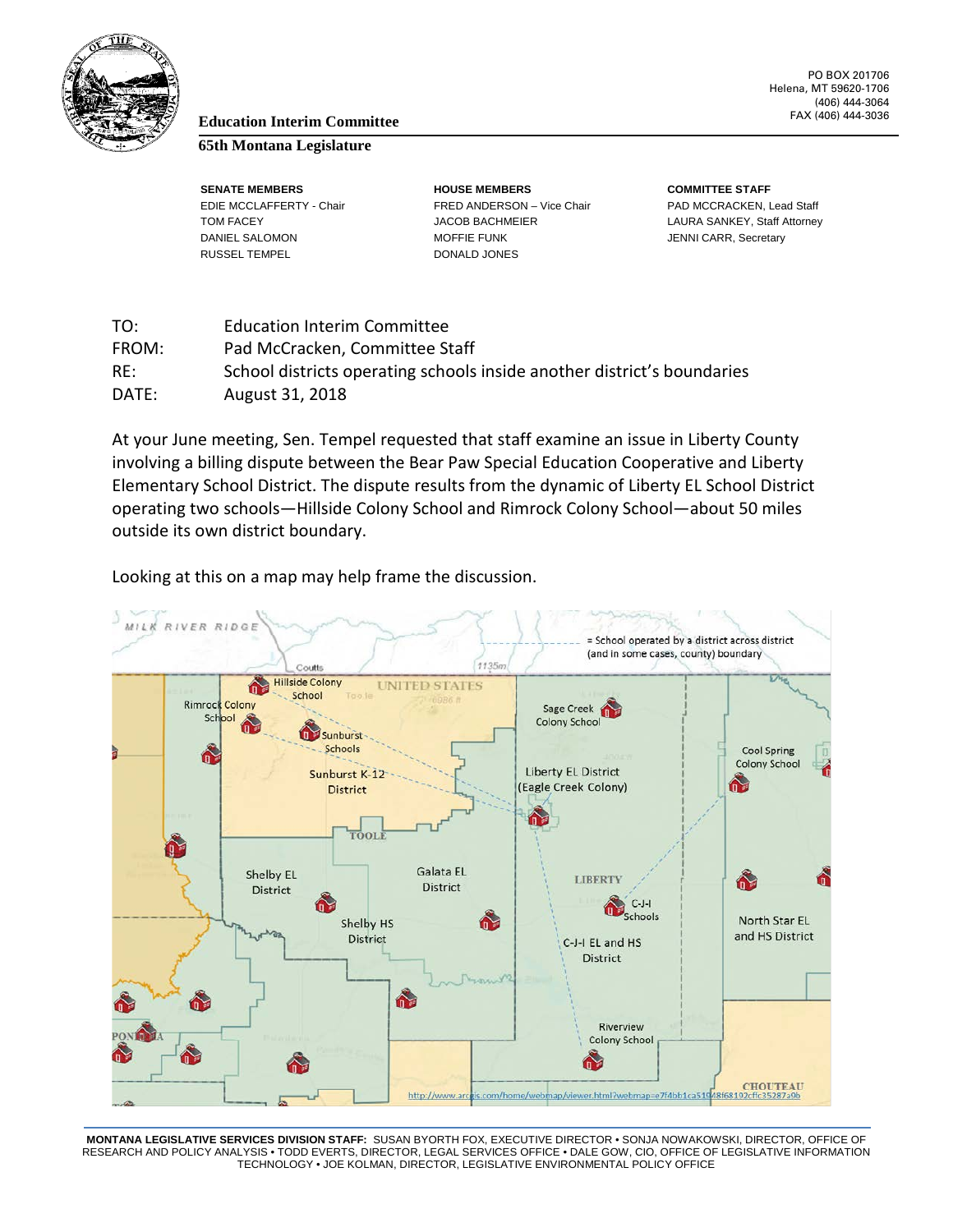

#### PO BOX 201706 Helena, MT 59620-1706 (406) 444-3064

## FAX (406) 444-3036 **Education Interim Committee**

#### **65th Montana Legislature**

RUSSEL TEMPEL DONALD JONES

**SENATE MEMBERS HOUSE MEMBERS COMMITTEE STAFF** EDIE MCCLAFFERTY - Chair FRED ANDERSON – Vice Chair PAD MCCRACKEN, Lead Staff TOM FACEY **Subset Contracts COB ACCUPATE ACCUPATE ACCUPATE ACCUPATE CONTRACT COMPLEMENT CONTRACTS** LAURA SANKEY, Staff Attorney DANIEL SALOMON MOFFIE FUNK MOFFIE FUNK JENNI CARR, Secretary

| TO:   | <b>Education Interim Committee</b>                                      |
|-------|-------------------------------------------------------------------------|
| FROM: | Pad McCracken, Committee Staff                                          |
| RE:   | School districts operating schools inside another district's boundaries |
| DATE: | August 31, 2018                                                         |

At your June meeting, Sen. Tempel requested that staff examine an issue in Liberty County involving a billing dispute between the Bear Paw Special Education Cooperative and Liberty Elementary School District. The dispute results from the dynamic of Liberty EL School District operating two schools—Hillside Colony School and Rimrock Colony School—about 50 miles outside its own district boundary.

Looking at this on a map may help frame the discussion.



**MONTANA LEGISLATIVE SERVICES DIVISION STAFF:** SUSAN BYORTH FOX, EXECUTIVE DIRECTOR • SONJA NOWAKOWSKI, DIRECTOR, OFFICE OF RESEARCH AND POLICY ANALYSIS • TODD EVERTS, DIRECTOR, LEGAL SERVICES OFFICE • DALE GOW, CIO, OFFICE OF LEGISLATIVE INFORMATION TECHNOLOGY • JOE KOLMAN, DIRECTOR, LEGISLATIVE ENVIRONMENTAL POLICY OFFICE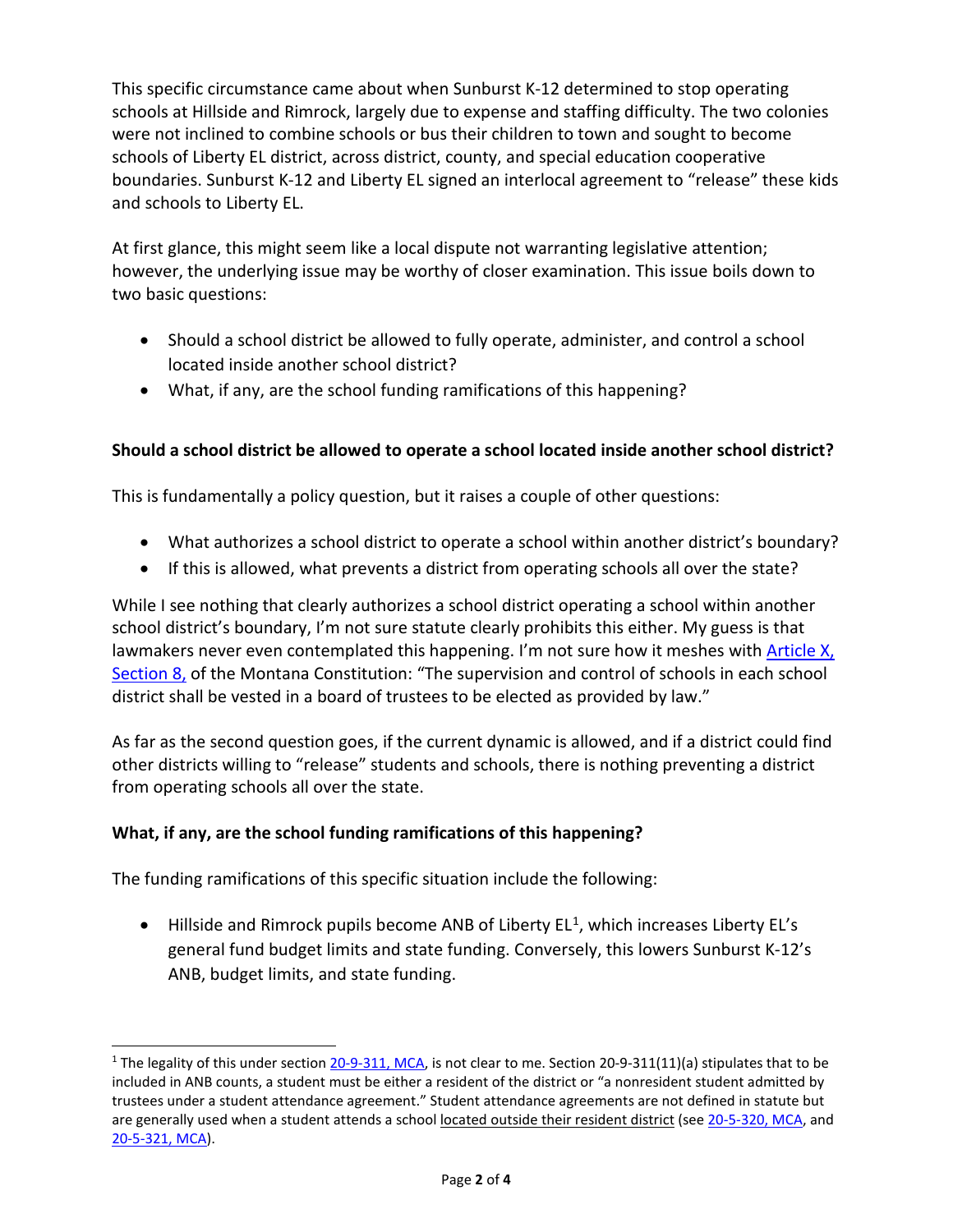This specific circumstance came about when Sunburst K-12 determined to stop operating schools at Hillside and Rimrock, largely due to expense and staffing difficulty. The two colonies were not inclined to combine schools or bus their children to town and sought to become schools of Liberty EL district, across district, county, and special education cooperative boundaries. Sunburst K-12 and Liberty EL signed an interlocal agreement to "release" these kids and schools to Liberty EL.

At first glance, this might seem like a local dispute not warranting legislative attention; however, the underlying issue may be worthy of closer examination. This issue boils down to two basic questions:

- Should a school district be allowed to fully operate, administer, and control a school located inside another school district?
- What, if any, are the school funding ramifications of this happening?

### **Should a school district be allowed to operate a school located inside another school district?**

This is fundamentally a policy question, but it raises a couple of other questions:

- What authorizes a school district to operate a school within another district's boundary?
- If this is allowed, what prevents a district from operating schools all over the state?

While I see nothing that clearly authorizes a school district operating a school within another school district's boundary, I'm not sure statute clearly prohibits this either. My guess is that lawmakers never even contemplated this happening. I'm not sure how it meshes with [Article](https://leg.mt.gov/bills/mca/title_0000/article_0100/part_0010/section_0080/0000-0100-0010-0080.html) X, [Section](https://leg.mt.gov/bills/mca/title_0000/article_0100/part_0010/section_0080/0000-0100-0010-0080.html) 8, of the Montana Constitution: "The supervision and control of schools in each school district shall be vested in a board of trustees to be elected as provided by law."

As far as the second question goes, if the current dynamic is allowed, and if a district could find other districts willing to "release" students and schools, there is nothing preventing a district from operating schools all over the state.

#### **What, if any, are the school funding ramifications of this happening?**

The funding ramifications of this specific situation include the following:

j

 $\bullet$  Hillside and Rimrock pupils become ANB of Liberty  $EL^1$  $EL^1$ , which increases Liberty EL's general fund budget limits and state funding. Conversely, this lowers Sunburst K-12's ANB, budget limits, and state funding.

<span id="page-5-0"></span><sup>&</sup>lt;sup>1</sup> The legality of this under section [20-9-311, MCA,](https://leg.mt.gov/bills/mca/title_0200/chapter_0090/part_0030/section_0110/0200-0090-0030-0110.html) is not clear to me. Section 20-9-311(11)(a) stipulates that to be included in ANB counts, a student must be either a resident of the district or "a nonresident student admitted by trustees under a student attendance agreement." Student attendance agreements are not defined in statute but are generally used when a student attends a school located outside their resident district (see [20-5-320, MCA,](https://leg.mt.gov/bills/mca/title_0200/chapter_0050/part_0030/section_0200/0200-0050-0030-0200.html) and [20-5-321, MCA\)](https://leg.mt.gov/bills/mca/title_0200/chapter_0050/part_0030/section_0210/0200-0050-0030-0210.html).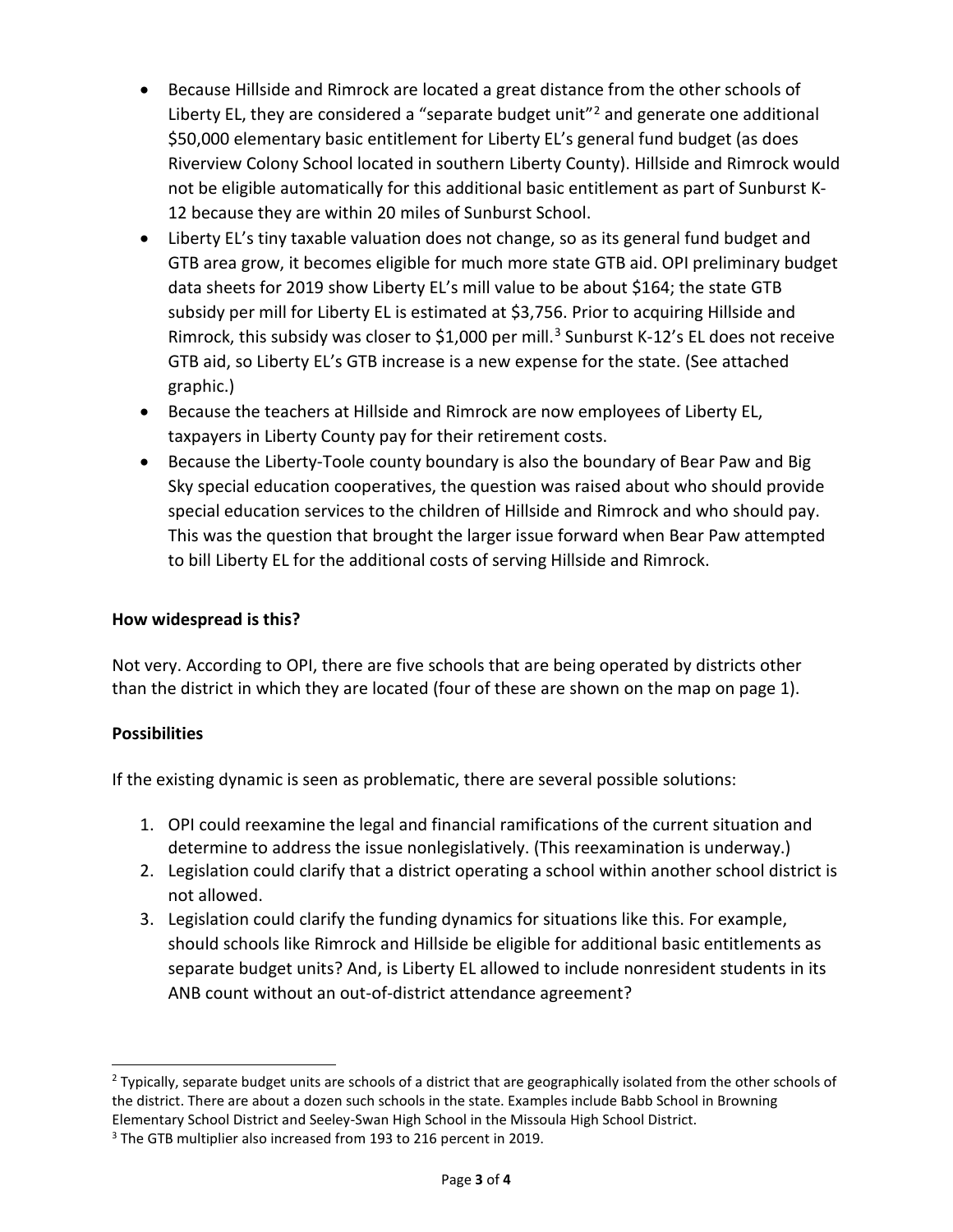- Because Hillside and Rimrock are located a great distance from the other schools of Liberty EL, they are considered a "separate budget unit"<sup>[2](#page-6-0)</sup> and generate one additional \$50,000 elementary basic entitlement for Liberty EL's general fund budget (as does Riverview Colony School located in southern Liberty County). Hillside and Rimrock would not be eligible automatically for this additional basic entitlement as part of Sunburst K-12 because they are within 20 miles of Sunburst School.
- Liberty EL's tiny taxable valuation does not change, so as its general fund budget and GTB area grow, it becomes eligible for much more state GTB aid. OPI preliminary budget data sheets for 2019 show Liberty EL's mill value to be about \$164; the state GTB subsidy per mill for Liberty EL is estimated at \$3,756. Prior to acquiring Hillside and Rimrock, this subsidy was closer to \$1,000 per mill.<sup>[3](#page-6-1)</sup> Sunburst K-12's EL does not receive GTB aid, so Liberty EL's GTB increase is a new expense for the state. (See attached graphic.)
- Because the teachers at Hillside and Rimrock are now employees of Liberty EL, taxpayers in Liberty County pay for their retirement costs.
- Because the Liberty-Toole county boundary is also the boundary of Bear Paw and Big Sky special education cooperatives, the question was raised about who should provide special education services to the children of Hillside and Rimrock and who should pay. This was the question that brought the larger issue forward when Bear Paw attempted to bill Liberty EL for the additional costs of serving Hillside and Rimrock.

#### **How widespread is this?**

Not very. According to OPI, there are five schools that are being operated by districts other than the district in which they are located (four of these are shown on the map on page 1).

#### **Possibilities**

If the existing dynamic is seen as problematic, there are several possible solutions:

- 1. OPI could reexamine the legal and financial ramifications of the current situation and determine to address the issue nonlegislatively. (This reexamination is underway.)
- 2. Legislation could clarify that a district operating a school within another school district is not allowed.
- 3. Legislation could clarify the funding dynamics for situations like this. For example, should schools like Rimrock and Hillside be eligible for additional basic entitlements as separate budget units? And, is Liberty EL allowed to include nonresident students in its ANB count without an out-of-district attendance agreement?

<span id="page-6-0"></span><sup>&</sup>lt;sup>2</sup> Typically, separate budget units are schools of a district that are geographically isolated from the other schools of the district. There are about a dozen such schools in the state. Examples include Babb School in Browning Elementary School District and Seeley-Swan High School in the Missoula High School District.

<span id="page-6-1"></span><sup>&</sup>lt;sup>3</sup> The GTB multiplier also increased from 193 to 216 percent in 2019.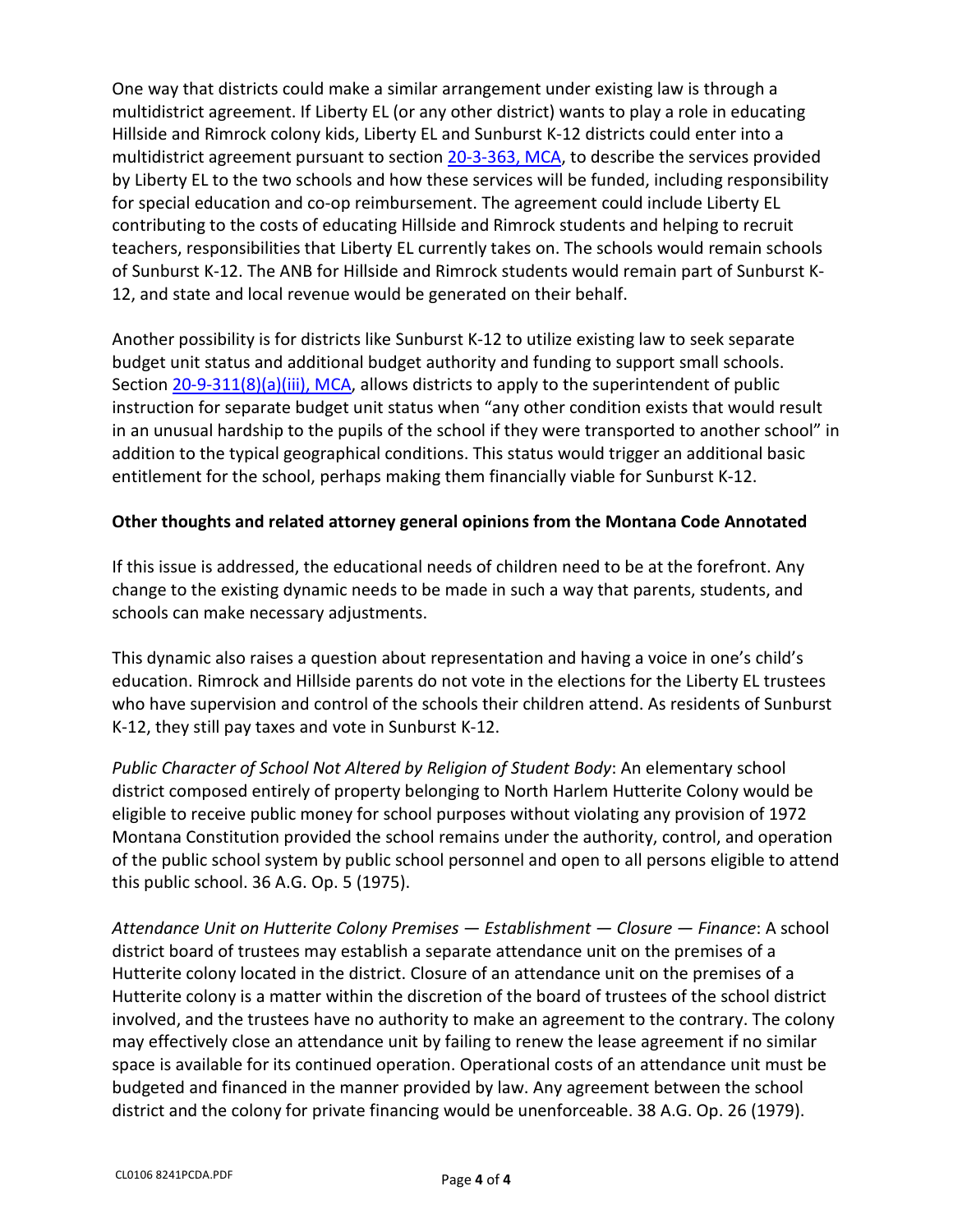One way that districts could make a similar arrangement under existing law is through a multidistrict agreement. If Liberty EL (or any other district) wants to play a role in educating Hillside and Rimrock colony kids, Liberty EL and Sunburst K-12 districts could enter into a multidistrict agreement pursuant to section [20-3-363, MCA,](https://leg.mt.gov/bills/mca/title_0200/chapter_0030/part_0030/section_0630/0200-0030-0030-0630.html) to describe the services provided by Liberty EL to the two schools and how these services will be funded, including responsibility for special education and co-op reimbursement. The agreement could include Liberty EL contributing to the costs of educating Hillside and Rimrock students and helping to recruit teachers, responsibilities that Liberty EL currently takes on. The schools would remain schools of Sunburst K-12. The ANB for Hillside and Rimrock students would remain part of Sunburst K-12, and state and local revenue would be generated on their behalf.

Another possibility is for districts like Sunburst K-12 to utilize existing law to seek separate budget unit status and additional budget authority and funding to support small schools. Sectio[n 20-9-311\(8\)\(a\)\(iii\), MCA,](https://leg.mt.gov/bills/mca/title_0200/chapter_0090/part_0030/section_0110/0200-0090-0030-0110.html) allows districts to apply to the superintendent of public instruction for separate budget unit status when "any other condition exists that would result in an unusual hardship to the pupils of the school if they were transported to another school" in addition to the typical geographical conditions. This status would trigger an additional basic entitlement for the school, perhaps making them financially viable for Sunburst K-12.

#### **Other thoughts and related attorney general opinions from the Montana Code Annotated**

If this issue is addressed, the educational needs of children need to be at the forefront. Any change to the existing dynamic needs to be made in such a way that parents, students, and schools can make necessary adjustments.

This dynamic also raises a question about representation and having a voice in one's child's education. Rimrock and Hillside parents do not vote in the elections for the Liberty EL trustees who have supervision and control of the schools their children attend. As residents of Sunburst K-12, they still pay taxes and vote in Sunburst K-12.

*Public Character of School Not Altered by Religion of Student Body*: An elementary school district composed entirely of property belonging to North Harlem Hutterite Colony would be eligible to receive public money for school purposes without violating any provision of 1972 Montana Constitution provided the school remains under the authority, control, and operation of the public school system by public school personnel and open to all persons eligible to attend this public school. 36 A.G. Op. 5 (1975).

*Attendance Unit on Hutterite Colony Premises — Establishment — Closure — Finance*: A school district board of trustees may establish a separate attendance unit on the premises of a Hutterite colony located in the district. Closure of an attendance unit on the premises of a Hutterite colony is a matter within the discretion of the board of trustees of the school district involved, and the trustees have no authority to make an agreement to the contrary. The colony may effectively close an attendance unit by failing to renew the lease agreement if no similar space is available for its continued operation. Operational costs of an attendance unit must be budgeted and financed in the manner provided by law. Any agreement between the school district and the colony for private financing would be unenforceable. 38 A.G. Op. 26 (1979).